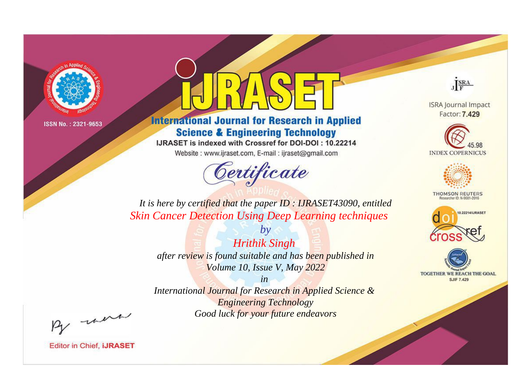

# **International Journal for Research in Applied Science & Engineering Technology**

IJRASET is indexed with Crossref for DOI-DOI: 10.22214

Website: www.ijraset.com, E-mail: ijraset@gmail.com



JERA

**ISRA Journal Impact** Factor: 7.429





**THOMSON REUTERS** 



TOGETHER WE REACH THE GOAL **SJIF 7.429** 

*It is here by certified that the paper ID : IJRASET43090, entitled Skin Cancer Detection Using Deep Learning techniques*

*by Hrithik Singh after review is found suitable and has been published in Volume 10, Issue V, May 2022*

*in* 

*International Journal for Research in Applied Science & Engineering Technology Good luck for your future endeavors*

By morn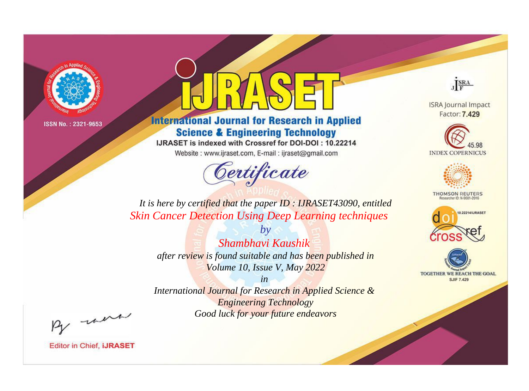

# **International Journal for Research in Applied Science & Engineering Technology**

IJRASET is indexed with Crossref for DOI-DOI: 10.22214

Website: www.ijraset.com, E-mail: ijraset@gmail.com



JERA

**ISRA Journal Impact** Factor: 7.429





**THOMSON REUTERS** 



TOGETHER WE REACH THE GOAL **SJIF 7.429** 

It is here by certified that the paper ID: IJRASET43090, entitled **Skin Cancer Detection Using Deep Learning techniques** 

Shambhavi Kaushik after review is found suitable and has been published in Volume 10, Issue V, May 2022

 $h\nu$ 

 $in$ International Journal for Research in Applied Science & **Engineering Technology** Good luck for your future endeavors

By morn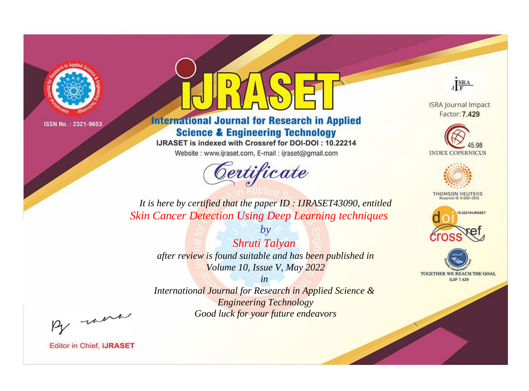

# **International Journal for Research in Applied Science & Engineering Technology**

IJRASET is indexed with Crossref for DOI-DOI: 10.22214

Website: www.ijraset.com, E-mail: ijraset@gmail.com



JERA

**ISRA Journal Impact** Factor: 7.429





**THOMSON REUTERS** 



TOGETHER WE REACH THE GOAL **SJIF 7.429** 

*It is here by certified that the paper ID : IJRASET43090, entitled Skin Cancer Detection Using Deep Learning techniques*

*by Shruti Talyan after review is found suitable and has been published in Volume 10, Issue V, May 2022*

*in* 

*International Journal for Research in Applied Science & Engineering Technology Good luck for your future endeavors*

By morn